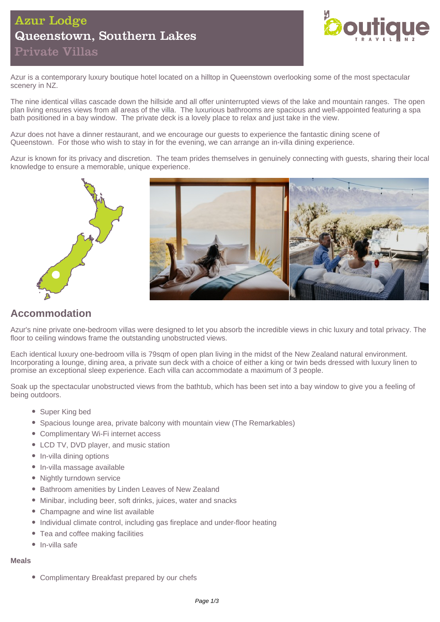# Azur Lodge Queenstown, Southern Lakes Private Villas



Azur is a contemporary luxury boutique hotel located on a hilltop in Queenstown overlooking some of the most spectacular scenery in NZ.

The nine identical villas cascade down the hillside and all offer uninterrupted views of the lake and mountain ranges. The open plan living ensures views from all areas of the villa. The luxurious bathrooms are spacious and well-appointed featuring a spa bath positioned in a bay window. The private deck is a lovely place to relax and just take in the view.

Azur does not have a dinner restaurant, and we encourage our guests to experience the fantastic dining scene of Queenstown. For those who wish to stay in for the evening, we can arrange an in-villa dining experience.

Azur is known for its privacy and discretion. The team prides themselves in genuinely connecting with guests, sharing their local knowledge to ensure a memorable, unique experience.



## **Accommodation**

Azur's nine private one-bedroom villas were designed to let you absorb the incredible views in chic luxury and total privacy. The floor to ceiling windows frame the outstanding unobstructed views.

Each identical luxury one-bedroom villa is 79sqm of open plan living in the midst of the New Zealand natural environment. Incorporating a lounge, dining area, a private sun deck with a choice of either a king or twin beds dressed with luxury linen to promise an exceptional sleep experience. Each villa can accommodate a maximum of 3 people.

Soak up the spectacular unobstructed views from the bathtub, which has been set into a bay window to give you a feeling of being outdoors.

- Super King bed
- Spacious lounge area, private balcony with mountain view (The Remarkables)
- Complimentary Wi-Fi internet access
- LCD TV, DVD player, and music station
- In-villa dining options
- In-villa massage available
- Nightly turndown service
- Bathroom amenities by Linden Leaves of New Zealand
- Minibar, including beer, soft drinks, juices, water and snacks
- Champagne and wine list available
- Individual climate control, including gas fireplace and under-floor heating
- Tea and coffee making facilities
- $\bullet$  In-villa safe

#### **Meals**

Complimentary Breakfast prepared by our chefs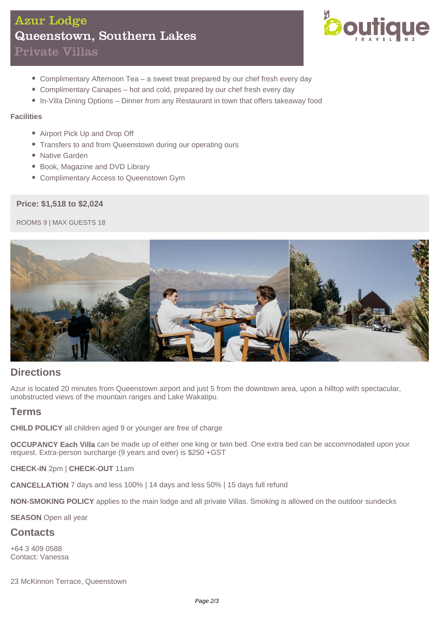# Azur Lodge Queenstown, Southern Lakes Private Villas



- Complimentary Afternoon Tea a sweet treat prepared by our chef fresh every day
- Complimentary Canapes hot and cold, prepared by our chef fresh every day
- In-Villa Dining Options Dinner from any Restaurant in town that offers takeaway food

#### **Facilities**

- Airport Pick Up and Drop Off
- Transfers to and from Queenstown during our operating ours
- Native Garden
- Book, Magazine and DVD Library
- Complimentary Access to Queenstown Gym

### **Price: \$1,518 to \$2,024**

ROOMS 9 | MAX GUESTS 18



## **Directions**

Azur is located 20 minutes from Queenstown airport and just 5 from the downtown area, upon a hilltop with spectacular, unobstructed views of the mountain ranges and Lake Wakatipu.

### **Terms**

**CHILD POLICY** all children aged 9 or younger are free of charge

**OCCUPANCY Each Villa** can be made up of either one king or twin bed. One extra bed can be accommodated upon your request. Extra-person surcharge (9 years and over) is \$250 +GST

**CHECK-IN** 2pm | **CHECK-OUT** 11am

**CANCELLATION** 7 days and less 100% | 14 days and less 50% | 15 days full refund

**NON-SMOKING POLICY** applies to the main lodge and all private Villas. Smoking is allowed on the outdoor sundecks

**SEASON** Open all year

### **Contacts**

+64 3 409 0588 Contact: Vanessa

23 McKinnon Terrace, Queenstown